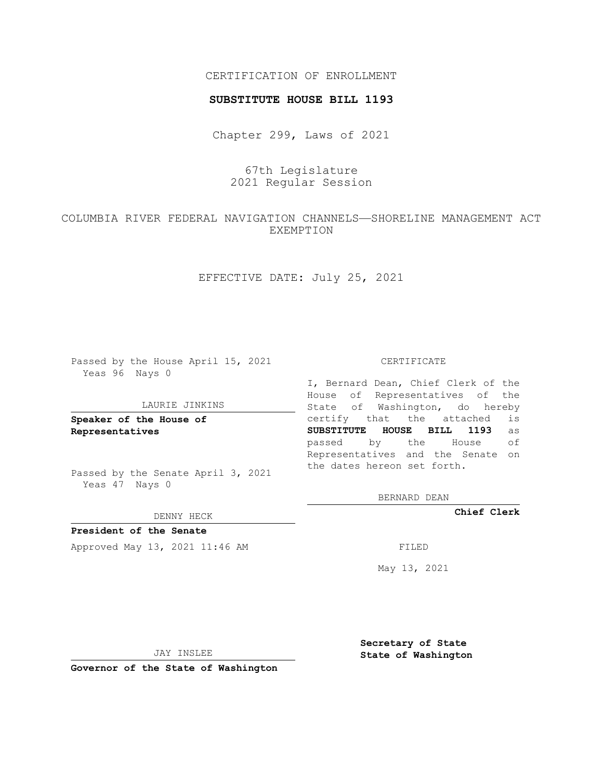### CERTIFICATION OF ENROLLMENT

#### **SUBSTITUTE HOUSE BILL 1193**

Chapter 299, Laws of 2021

# 67th Legislature 2021 Regular Session

# COLUMBIA RIVER FEDERAL NAVIGATION CHANNELS—SHORELINE MANAGEMENT ACT EXEMPTION

EFFECTIVE DATE: July 25, 2021

Passed by the House April 15, 2021 Yeas 96 Nays 0

#### LAURIE JINKINS

**Speaker of the House of Representatives**

Passed by the Senate April 3, 2021 Yeas 47 Nays 0

DENNY HECK

**President of the Senate** Approved May 13, 2021 11:46 AM FILED

CERTIFICATE

I, Bernard Dean, Chief Clerk of the House of Representatives of the State of Washington, do hereby certify that the attached is **SUBSTITUTE HOUSE BILL 1193** as passed by the House of Representatives and the Senate on the dates hereon set forth.

BERNARD DEAN

**Chief Clerk**

May 13, 2021

JAY INSLEE

**Governor of the State of Washington**

**Secretary of State State of Washington**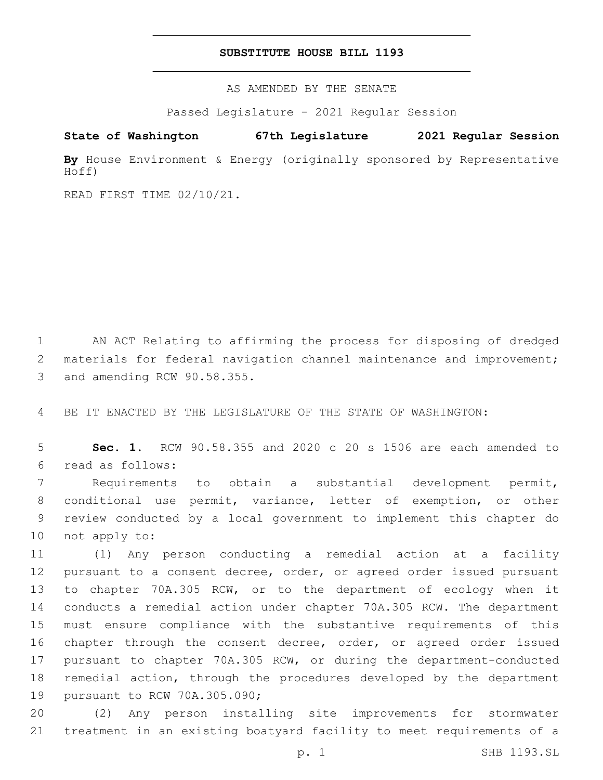#### **SUBSTITUTE HOUSE BILL 1193**

AS AMENDED BY THE SENATE

Passed Legislature - 2021 Regular Session

## **State of Washington 67th Legislature 2021 Regular Session**

**By** House Environment & Energy (originally sponsored by Representative Hoff)

READ FIRST TIME 02/10/21.

1 AN ACT Relating to affirming the process for disposing of dredged 2 materials for federal navigation channel maintenance and improvement; 3 and amending RCW 90.58.355.

4 BE IT ENACTED BY THE LEGISLATURE OF THE STATE OF WASHINGTON:

5 **Sec. 1.** RCW 90.58.355 and 2020 c 20 s 1506 are each amended to read as follows:6

 Requirements to obtain a substantial development permit, conditional use permit, variance, letter of exemption, or other review conducted by a local government to implement this chapter do 10 not apply to:

 (1) Any person conducting a remedial action at a facility pursuant to a consent decree, order, or agreed order issued pursuant to chapter 70A.305 RCW, or to the department of ecology when it conducts a remedial action under chapter 70A.305 RCW. The department must ensure compliance with the substantive requirements of this 16 chapter through the consent decree, order, or agreed order issued pursuant to chapter 70A.305 RCW, or during the department-conducted remedial action, through the procedures developed by the department 19 pursuant to RCW 70A.305.090;

20 (2) Any person installing site improvements for stormwater 21 treatment in an existing boatyard facility to meet requirements of a